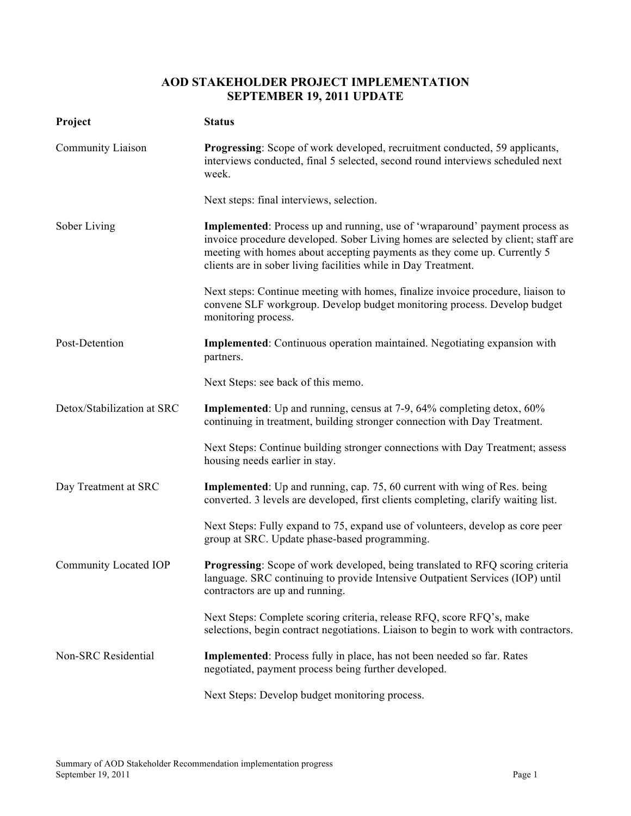## **AOD STAKEHOLDER PROJECT IMPLEMENTATION SEPTEMBER 19, 2011 UPDATE**

| Project                    | <b>Status</b>                                                                                                                                                                                                                                                                                                  |
|----------------------------|----------------------------------------------------------------------------------------------------------------------------------------------------------------------------------------------------------------------------------------------------------------------------------------------------------------|
| Community Liaison          | <b>Progressing:</b> Scope of work developed, recruitment conducted, 59 applicants,<br>interviews conducted, final 5 selected, second round interviews scheduled next<br>week.                                                                                                                                  |
|                            | Next steps: final interviews, selection.                                                                                                                                                                                                                                                                       |
| Sober Living               | Implemented: Process up and running, use of 'wraparound' payment process as<br>invoice procedure developed. Sober Living homes are selected by client; staff are<br>meeting with homes about accepting payments as they come up. Currently 5<br>clients are in sober living facilities while in Day Treatment. |
|                            | Next steps: Continue meeting with homes, finalize invoice procedure, liaison to<br>convene SLF workgroup. Develop budget monitoring process. Develop budget<br>monitoring process.                                                                                                                             |
| Post-Detention             | <b>Implemented:</b> Continuous operation maintained. Negotiating expansion with<br>partners.                                                                                                                                                                                                                   |
|                            | Next Steps: see back of this memo.                                                                                                                                                                                                                                                                             |
| Detox/Stabilization at SRC | Implemented: Up and running, census at 7-9, 64% completing detox, 60%<br>continuing in treatment, building stronger connection with Day Treatment.                                                                                                                                                             |
|                            | Next Steps: Continue building stronger connections with Day Treatment; assess<br>housing needs earlier in stay.                                                                                                                                                                                                |
| Day Treatment at SRC       | <b>Implemented</b> : Up and running, cap. 75, 60 current with wing of Res. being<br>converted. 3 levels are developed, first clients completing, clarify waiting list.                                                                                                                                         |
|                            | Next Steps: Fully expand to 75, expand use of volunteers, develop as core peer<br>group at SRC. Update phase-based programming.                                                                                                                                                                                |
| Community Located IOP      | <b>Progressing:</b> Scope of work developed, being translated to RFQ scoring criteria<br>language. SRC continuing to provide Intensive Outpatient Services (IOP) until<br>contractors are up and running.                                                                                                      |
|                            | Next Steps: Complete scoring criteria, release RFQ, score RFQ's, make<br>selections, begin contract negotiations. Liaison to begin to work with contractors.                                                                                                                                                   |
| Non-SRC Residential        | <b>Implemented:</b> Process fully in place, has not been needed so far. Rates<br>negotiated, payment process being further developed.                                                                                                                                                                          |
|                            | Next Steps: Develop budget monitoring process.                                                                                                                                                                                                                                                                 |